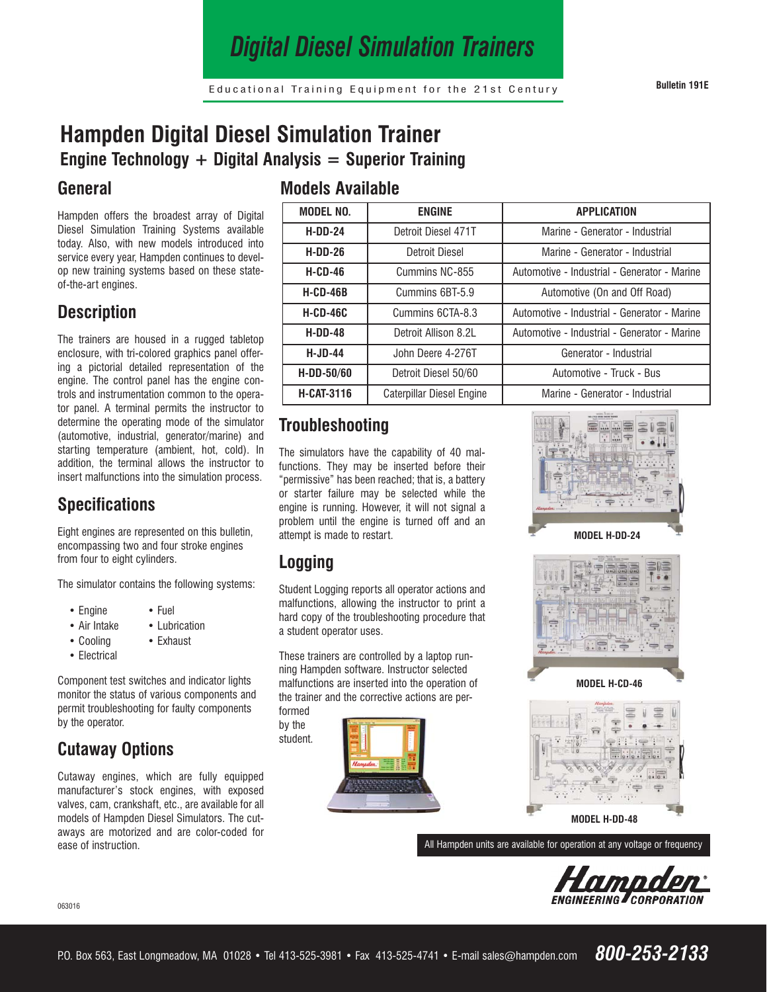# *Digital Diesel Simulation Trainers*

## **Hampden Digital Diesel Simulation Trainer Engine Technology + Digital Analysis = Superior Training**

#### **General**

Hampden offers the broadest array of Digital Diesel Simulation Training Systems available today. Also, with new models introduced into service every year, Hampden continues to develop new training systems based on these stateof-the-art engines.

#### **Description**

The trainers are housed in a rugged tabletop enclosure, with tri-colored graphics panel offering a pictorial detailed representation of the engine. The control panel has the engine controls and instrumentation common to the operator panel. A terminal permits the instructor to determine the operating mode of the simulator (automotive, industrial, generator/marine) and starting temperature (ambient, hot, cold). In addition, the terminal allows the instructor to insert malfunctions into the simulation process.

### **Specifications**

Eight engines are represented on this bulletin, encompassing two and four stroke engines from four to eight cylinders.

The simulator contains the following systems:

- Engine Fuel
- Air Intake Lubrication
- Cooling Exhaust
- Electrical

Component test switches and indicator lights monitor the status of various components and permit troubleshooting for faulty components by the operator.

#### **Cutaway Options**

Cutaway engines, which are fully equipped manufacturer's stock engines, with exposed valves, cam, crankshaft, etc., are available for all models of Hampden Diesel Simulators. The cutaways are motorized and are color-coded for ease of instruction.

#### **Models Available**

| <b>MODEL NO.</b>  | <b>ENGINE</b>             | <b>APPLICATION</b>                           |
|-------------------|---------------------------|----------------------------------------------|
| $H-DD-24$         | Detroit Diesel 471T       | Marine - Generator - Industrial              |
| $H-DD-26$         | <b>Detroit Diesel</b>     | Marine - Generator - Industrial              |
| $H-CD-46$         | Cummins NC-855            | Automotive - Industrial - Generator - Marine |
| $H-CD-46B$        | Cummins 6BT-5.9           | Automotive (On and Off Road)                 |
| $H-CD-46C$        | Cummins 6CTA-8.3          | Automotive - Industrial - Generator - Marine |
| $H-DD-48$         | Detroit Allison 8.2L      | Automotive - Industrial - Generator - Marine |
| $H-JD-44$         | John Deere 4-276T         | Generator - Industrial                       |
| $H-DD-50/60$      | Detroit Diesel 50/60      | Automotive - Truck - Bus                     |
| <b>H-CAT-3116</b> | Caterpillar Diesel Engine | Marine - Generator - Industrial              |

#### **Troubleshooting**

The simulators have the capability of 40 malfunctions. They may be inserted before their "permissive" has been reached; that is, a battery or starter failure may be selected while the engine is running. However, it will not signal a problem until the engine is turned off and an attempt is made to restart.

## **Logging**

Student Logging reports all operator actions and malfunctions, allowing the instructor to print a hard copy of the troubleshooting procedure that a student operator uses.

These trainers are controlled by a laptop running Hampden software. Instructor selected malfunctions are inserted into the operation of the trainer and the corrective actions are performed

by the student.







**MODEL H-CD-46** 



**MODEL H-DD-48**

All Hampden units are available for operation at any voltage or frequency